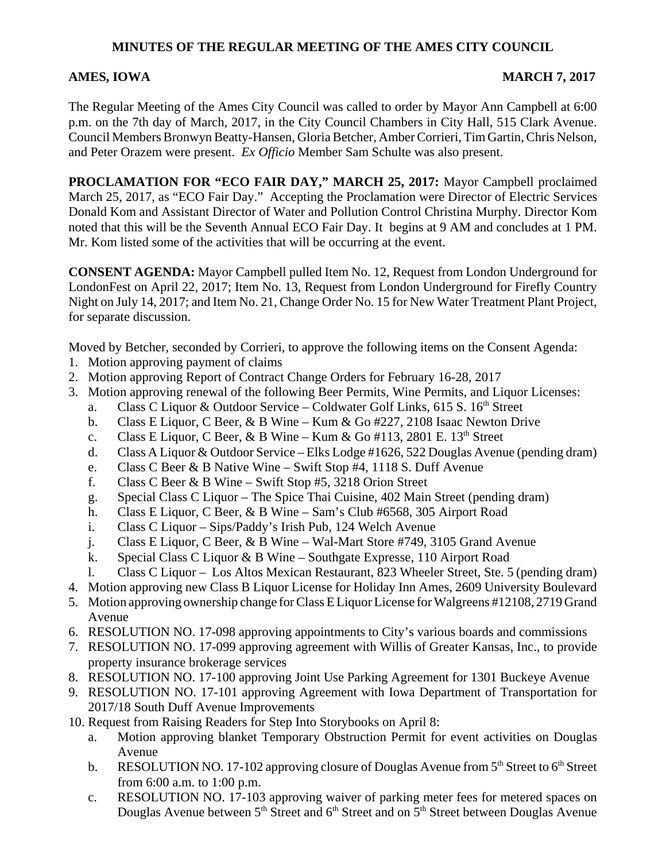### **MINUTES OF THE REGULAR MEETING OF THE AMES CITY COUNCIL**

### AMES, IOWA MARCH 7, 2017

The Regular Meeting of the Ames City Council was called to order by Mayor Ann Campbell at 6:00 p.m. on the 7th day of March, 2017, in the City Council Chambers in City Hall, 515 Clark Avenue. Council Members Bronwyn Beatty-Hansen, Gloria Betcher, Amber Corrieri, Tim Gartin, Chris Nelson, and Peter Orazem were present. *Ex Officio* Member Sam Schulte was also present.

**PROCLAMATION FOR "ECO FAIR DAY," MARCH 25, 2017:** Mayor Campbell proclaimed March 25, 2017, as "ECO Fair Day." Accepting the Proclamation were Director of Electric Services Donald Kom and Assistant Director of Water and Pollution Control Christina Murphy. Director Kom noted that this will be the Seventh Annual ECO Fair Day. It begins at 9 AM and concludes at 1 PM. Mr. Kom listed some of the activities that will be occurring at the event.

**CONSENT AGENDA:** Mayor Campbell pulled Item No. 12, Request from London Underground for LondonFest on April 22, 2017; Item No. 13, Request from London Underground for Firefly Country Night on July 14, 2017; and Item No. 21, Change Order No. 15 for New Water Treatment Plant Project, for separate discussion.

Moved by Betcher, seconded by Corrieri, to approve the following items on the Consent Agenda:

- 1. Motion approving payment of claims
- 2. Motion approving Report of Contract Change Orders for February 16-28, 2017
- 3. Motion approving renewal of the following Beer Permits, Wine Permits, and Liquor Licenses:
	- a. Class C Liquor & Outdoor Service Coldwater Golf Links, 615 S.  $16<sup>th</sup>$  Street
	- b. Class E Liquor, C Beer, & B Wine Kum & Go #227, 2108 Isaac Newton Drive
	- c. Class E Liquor, C Beer, & B Wine Kum & Go #113, 2801 E.  $13<sup>th</sup>$  Street
	- d. Class A Liquor & Outdoor Service Elks Lodge #1626, 522 Douglas Avenue (pending dram)
	- e. Class C Beer & B Native Wine Swift Stop #4, 1118 S. Duff Avenue
	- f. Class C Beer & B Wine Swift Stop #5, 3218 Orion Street
	- g. Special Class C Liquor The Spice Thai Cuisine, 402 Main Street (pending dram)
	- h. Class E Liquor, C Beer, & B Wine Sam's Club #6568, 305 Airport Road
	- i. Class C Liquor Sips/Paddy's Irish Pub, 124 Welch Avenue
	- j. Class E Liquor, C Beer, & B Wine Wal-Mart Store #749, 3105 Grand Avenue
	- k. Special Class C Liquor & B Wine Southgate Expresse, 110 Airport Road
	- l. Class C Liquor Los Altos Mexican Restaurant, 823 Wheeler Street, Ste. 5 (pending dram)
- 4. Motion approving new Class B Liquor License for Holiday Inn Ames, 2609 University Boulevard
- 5. Motion approving ownership change for Class E Liquor License for Walgreens #12108, 2719 Grand Avenue
- 6. RESOLUTION NO. 17-098 approving appointments to City's various boards and commissions
- 7. RESOLUTION NO. 17-099 approving agreement with Willis of Greater Kansas, Inc., to provide property insurance brokerage services
- 8. RESOLUTION NO. 17-100 approving Joint Use Parking Agreement for 1301 Buckeye Avenue
- 9. RESOLUTION NO. 17-101 approving Agreement with Iowa Department of Transportation for 2017/18 South Duff Avenue Improvements
- 10. Request from Raising Readers for Step Into Storybooks on April 8:
	- a. Motion approving blanket Temporary Obstruction Permit for event activities on Douglas Avenue
	- b. RESOLUTION NO. 17-102 approving closure of Douglas Avenue from  $5<sup>th</sup>$  Street to  $6<sup>th</sup>$  Street from 6:00 a.m. to 1:00 p.m.
	- c. RESOLUTION NO. 17-103 approving waiver of parking meter fees for metered spaces on Douglas Avenue between  $5<sup>th</sup>$  Street and  $6<sup>th</sup>$  Street and on  $5<sup>th</sup>$  Street between Douglas Avenue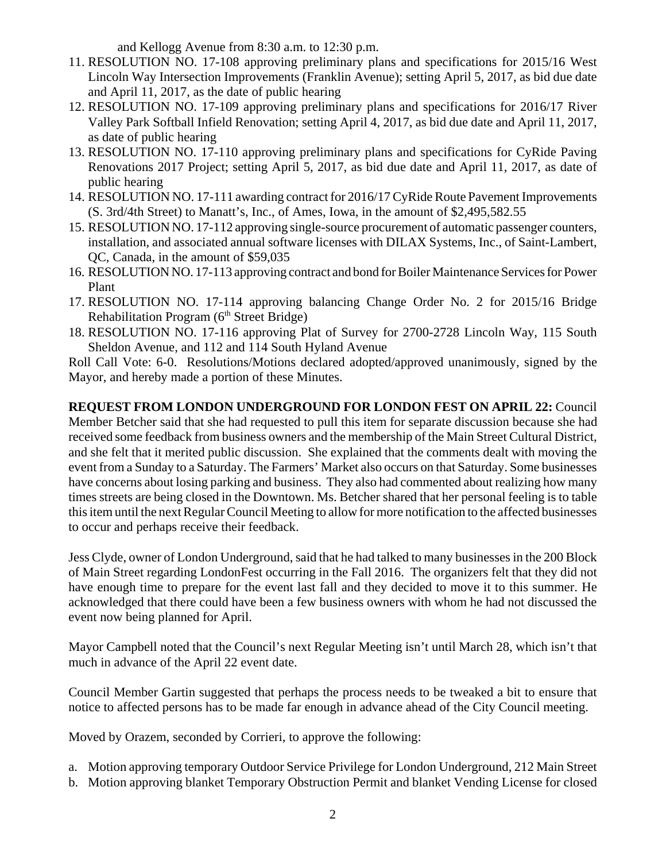and Kellogg Avenue from 8:30 a.m. to 12:30 p.m.

- 11. RESOLUTION NO. 17-108 approving preliminary plans and specifications for 2015/16 West Lincoln Way Intersection Improvements (Franklin Avenue); setting April 5, 2017, as bid due date and April 11, 2017, as the date of public hearing
- 12. RESOLUTION NO. 17-109 approving preliminary plans and specifications for 2016/17 River Valley Park Softball Infield Renovation; setting April 4, 2017, as bid due date and April 11, 2017, as date of public hearing
- 13. RESOLUTION NO. 17-110 approving preliminary plans and specifications for CyRide Paving Renovations 2017 Project; setting April 5, 2017, as bid due date and April 11, 2017, as date of public hearing
- 14. RESOLUTION NO. 17-111 awarding contract for 2016/17 CyRide Route Pavement Improvements (S. 3rd/4th Street) to Manatt's, Inc., of Ames, Iowa, in the amount of \$2,495,582.55
- 15. RESOLUTION NO. 17-112 approving single-source procurement of automatic passenger counters, installation, and associated annual software licenses with DILAX Systems, Inc., of Saint-Lambert, QC, Canada, in the amount of \$59,035
- 16. RESOLUTION NO. 17-113 approving contract and bond for Boiler Maintenance Services for Power Plant
- 17. RESOLUTION NO. 17-114 approving balancing Change Order No. 2 for 2015/16 Bridge Rehabilitation Program (6<sup>th</sup> Street Bridge)
- 18. RESOLUTION NO. 17-116 approving Plat of Survey for 2700-2728 Lincoln Way, 115 South Sheldon Avenue, and 112 and 114 South Hyland Avenue

Roll Call Vote: 6-0. Resolutions/Motions declared adopted/approved unanimously, signed by the Mayor, and hereby made a portion of these Minutes.

**REQUEST FROM LONDON UNDERGROUND FOR LONDON FEST ON APRIL 22:** Council Member Betcher said that she had requested to pull this item for separate discussion because she had received some feedback from business owners and the membership of the Main Street Cultural District, and she felt that it merited public discussion. She explained that the comments dealt with moving the event from a Sunday to a Saturday. The Farmers' Market also occurs on that Saturday. Some businesses have concerns about losing parking and business. They also had commented about realizing how many times streets are being closed in the Downtown. Ms. Betcher shared that her personal feeling is to table this item until the next Regular Council Meeting to allow for more notification to the affected businesses to occur and perhaps receive their feedback.

Jess Clyde, owner of London Underground, said that he had talked to many businesses in the 200 Block of Main Street regarding LondonFest occurring in the Fall 2016. The organizers felt that they did not have enough time to prepare for the event last fall and they decided to move it to this summer. He acknowledged that there could have been a few business owners with whom he had not discussed the event now being planned for April.

Mayor Campbell noted that the Council's next Regular Meeting isn't until March 28, which isn't that much in advance of the April 22 event date.

Council Member Gartin suggested that perhaps the process needs to be tweaked a bit to ensure that notice to affected persons has to be made far enough in advance ahead of the City Council meeting.

Moved by Orazem, seconded by Corrieri, to approve the following:

- a. Motion approving temporary Outdoor Service Privilege for London Underground, 212 Main Street
- b. Motion approving blanket Temporary Obstruction Permit and blanket Vending License for closed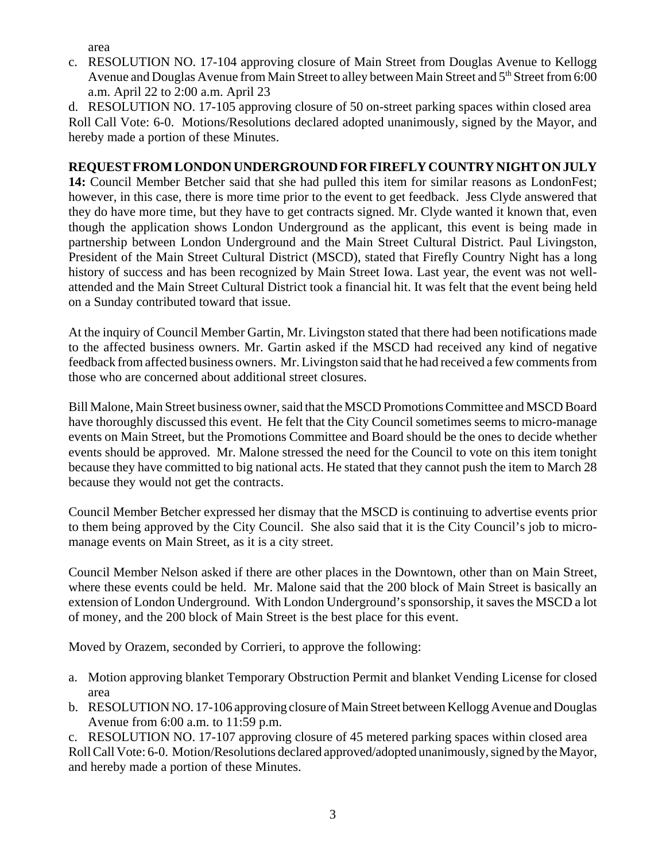area

c. RESOLUTION NO. 17-104 approving closure of Main Street from Douglas Avenue to Kellogg Avenue and Douglas Avenue from Main Street to alley between Main Street and  $5<sup>th</sup>$  Street from 6:00 a.m. April 22 to 2:00 a.m. April 23

d. RESOLUTION NO. 17-105 approving closure of 50 on-street parking spaces within closed area Roll Call Vote: 6-0. Motions/Resolutions declared adopted unanimously, signed by the Mayor, and hereby made a portion of these Minutes.

### **REQUEST FROM LONDON UNDERGROUND FOR FIREFLY COUNTRY NIGHT ON JULY**

**14:** Council Member Betcher said that she had pulled this item for similar reasons as LondonFest; however, in this case, there is more time prior to the event to get feedback. Jess Clyde answered that they do have more time, but they have to get contracts signed. Mr. Clyde wanted it known that, even though the application shows London Underground as the applicant, this event is being made in partnership between London Underground and the Main Street Cultural District. Paul Livingston, President of the Main Street Cultural District (MSCD), stated that Firefly Country Night has a long history of success and has been recognized by Main Street Iowa. Last year, the event was not wellattended and the Main Street Cultural District took a financial hit. It was felt that the event being held on a Sunday contributed toward that issue.

At the inquiry of Council Member Gartin, Mr. Livingston stated that there had been notifications made to the affected business owners. Mr. Gartin asked if the MSCD had received any kind of negative feedback from affected business owners. Mr. Livingston said that he had received a few comments from those who are concerned about additional street closures.

Bill Malone, Main Street business owner, said that the MSCD Promotions Committee and MSCD Board have thoroughly discussed this event. He felt that the City Council sometimes seems to micro-manage events on Main Street, but the Promotions Committee and Board should be the ones to decide whether events should be approved. Mr. Malone stressed the need for the Council to vote on this item tonight because they have committed to big national acts. He stated that they cannot push the item to March 28 because they would not get the contracts.

Council Member Betcher expressed her dismay that the MSCD is continuing to advertise events prior to them being approved by the City Council. She also said that it is the City Council's job to micromanage events on Main Street, as it is a city street.

Council Member Nelson asked if there are other places in the Downtown, other than on Main Street, where these events could be held. Mr. Malone said that the 200 block of Main Street is basically an extension of London Underground. With London Underground's sponsorship, it saves the MSCD a lot of money, and the 200 block of Main Street is the best place for this event.

Moved by Orazem, seconded by Corrieri, to approve the following:

- a. Motion approving blanket Temporary Obstruction Permit and blanket Vending License for closed area
- b. RESOLUTION NO. 17-106 approving closure of Main Street between Kellogg Avenue and Douglas Avenue from 6:00 a.m. to 11:59 p.m.
- c. RESOLUTION NO. 17-107 approving closure of 45 metered parking spaces within closed area

Roll Call Vote: 6-0. Motion/Resolutions declared approved/adopted unanimously, signed by the Mayor, and hereby made a portion of these Minutes.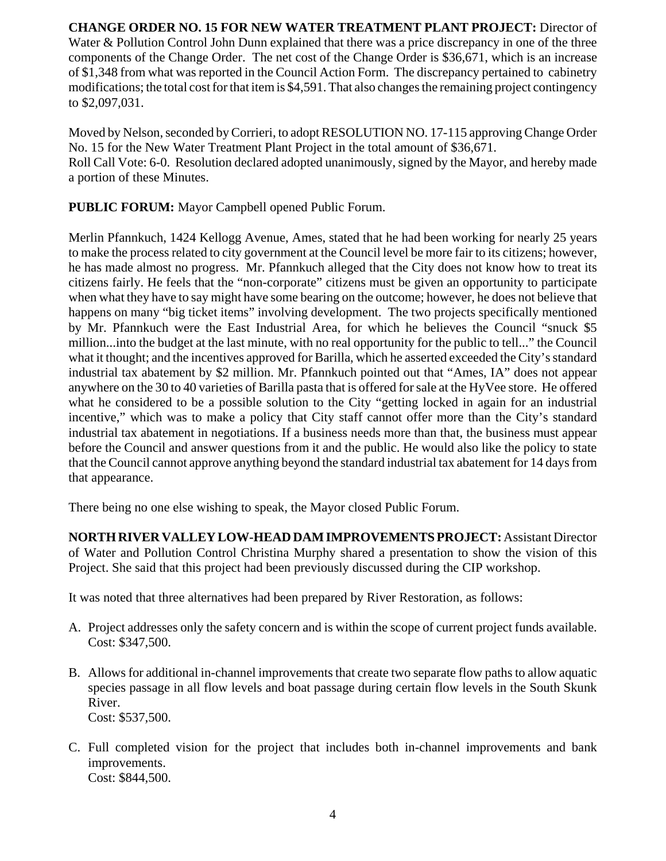#### **CHANGE ORDER NO. 15 FOR NEW WATER TREATMENT PLANT PROJECT:** Director of Water & Pollution Control John Dunn explained that there was a price discrepancy in one of the three components of the Change Order. The net cost of the Change Order is \$36,671, which is an increase of \$1,348 from what was reported in the Council Action Form. The discrepancy pertained to cabinetry modifications; the total cost for that item is \$4,591. That also changes the remaining project contingency to \$2,097,031.

Moved by Nelson, seconded by Corrieri, to adopt RESOLUTION NO. 17-115 approving Change Order No. 15 for the New Water Treatment Plant Project in the total amount of \$36,671. Roll Call Vote: 6-0. Resolution declared adopted unanimously, signed by the Mayor, and hereby made a portion of these Minutes.

**PUBLIC FORUM:** Mayor Campbell opened Public Forum.

Merlin Pfannkuch, 1424 Kellogg Avenue, Ames, stated that he had been working for nearly 25 years to make the process related to city government at the Council level be more fair to its citizens; however, he has made almost no progress. Mr. Pfannkuch alleged that the City does not know how to treat its citizens fairly. He feels that the "non-corporate" citizens must be given an opportunity to participate when what they have to say might have some bearing on the outcome; however, he does not believe that happens on many "big ticket items" involving development. The two projects specifically mentioned by Mr. Pfannkuch were the East Industrial Area, for which he believes the Council "snuck \$5 million...into the budget at the last minute, with no real opportunity for the public to tell..." the Council what it thought; and the incentives approved for Barilla, which he asserted exceeded the City's standard industrial tax abatement by \$2 million. Mr. Pfannkuch pointed out that "Ames, IA" does not appear anywhere on the 30 to 40 varieties of Barilla pasta that is offered for sale at the HyVee store. He offered what he considered to be a possible solution to the City "getting locked in again for an industrial incentive," which was to make a policy that City staff cannot offer more than the City's standard industrial tax abatement in negotiations. If a business needs more than that, the business must appear before the Council and answer questions from it and the public. He would also like the policy to state that the Council cannot approve anything beyond the standard industrial tax abatement for 14 days from that appearance.

There being no one else wishing to speak, the Mayor closed Public Forum.

**NORTH RIVER VALLEY LOW-HEAD DAM IMPROVEMENTS PROJECT:** Assistant Director of Water and Pollution Control Christina Murphy shared a presentation to show the vision of this Project. She said that this project had been previously discussed during the CIP workshop.

It was noted that three alternatives had been prepared by River Restoration, as follows:

- A. Project addresses only the safety concern and is within the scope of current project funds available. Cost: \$347,500.
- B. Allows for additional in-channel improvements that create two separate flow paths to allow aquatic species passage in all flow levels and boat passage during certain flow levels in the South Skunk River. Cost: \$537,500.
- C. Full completed vision for the project that includes both in-channel improvements and bank improvements. Cost: \$844,500.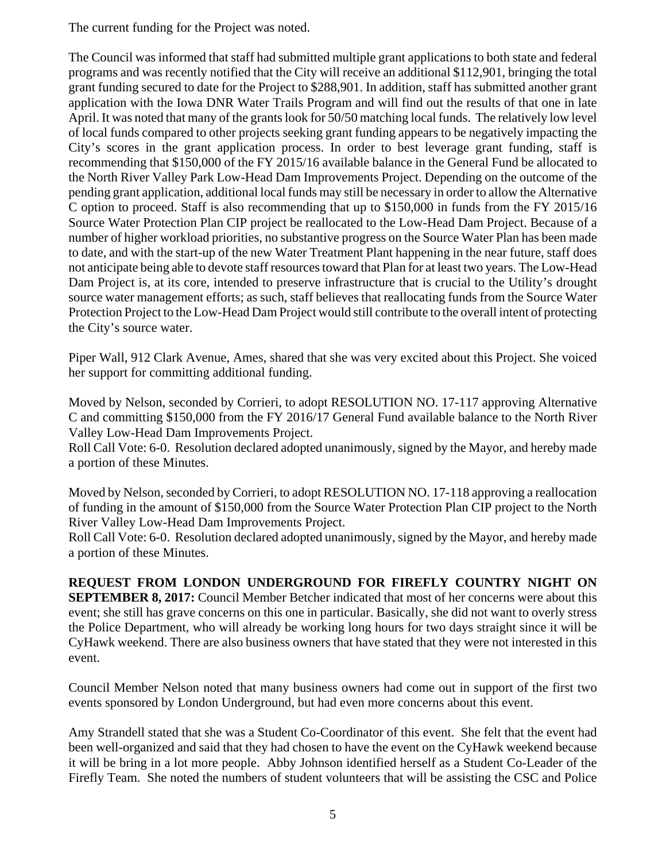The current funding for the Project was noted.

The Council was informed that staff had submitted multiple grant applications to both state and federal programs and was recently notified that the City will receive an additional \$112,901, bringing the total grant funding secured to date for the Project to \$288,901. In addition, staff has submitted another grant application with the Iowa DNR Water Trails Program and will find out the results of that one in late April. It was noted that many of the grants look for 50/50 matching local funds. The relatively low level of local funds compared to other projects seeking grant funding appears to be negatively impacting the City's scores in the grant application process. In order to best leverage grant funding, staff is recommending that \$150,000 of the FY 2015/16 available balance in the General Fund be allocated to the North River Valley Park Low-Head Dam Improvements Project. Depending on the outcome of the pending grant application, additional local funds may still be necessary in order to allow the Alternative C option to proceed. Staff is also recommending that up to \$150,000 in funds from the FY 2015/16 Source Water Protection Plan CIP project be reallocated to the Low-Head Dam Project. Because of a number of higher workload priorities, no substantive progress on the Source Water Plan has been made to date, and with the start-up of the new Water Treatment Plant happening in the near future, staff does not anticipate being able to devote staff resources toward that Plan for at least two years. The Low-Head Dam Project is, at its core, intended to preserve infrastructure that is crucial to the Utility's drought source water management efforts; as such, staff believes that reallocating funds from the Source Water Protection Project to the Low-Head Dam Project would still contribute to the overall intent of protecting the City's source water.

Piper Wall, 912 Clark Avenue, Ames, shared that she was very excited about this Project. She voiced her support for committing additional funding.

Moved by Nelson, seconded by Corrieri, to adopt RESOLUTION NO. 17-117 approving Alternative C and committing \$150,000 from the FY 2016/17 General Fund available balance to the North River Valley Low-Head Dam Improvements Project.

Roll Call Vote: 6-0. Resolution declared adopted unanimously, signed by the Mayor, and hereby made a portion of these Minutes.

Moved by Nelson, seconded by Corrieri, to adopt RESOLUTION NO. 17-118 approving a reallocation of funding in the amount of \$150,000 from the Source Water Protection Plan CIP project to the North River Valley Low-Head Dam Improvements Project.

Roll Call Vote: 6-0. Resolution declared adopted unanimously, signed by the Mayor, and hereby made a portion of these Minutes.

**REQUEST FROM LONDON UNDERGROUND FOR FIREFLY COUNTRY NIGHT ON SEPTEMBER 8, 2017:** Council Member Betcher indicated that most of her concerns were about this event; she still has grave concerns on this one in particular. Basically, she did not want to overly stress the Police Department, who will already be working long hours for two days straight since it will be CyHawk weekend. There are also business owners that have stated that they were not interested in this event.

Council Member Nelson noted that many business owners had come out in support of the first two events sponsored by London Underground, but had even more concerns about this event.

Amy Strandell stated that she was a Student Co-Coordinator of this event. She felt that the event had been well-organized and said that they had chosen to have the event on the CyHawk weekend because it will be bring in a lot more people. Abby Johnson identified herself as a Student Co-Leader of the Firefly Team. She noted the numbers of student volunteers that will be assisting the CSC and Police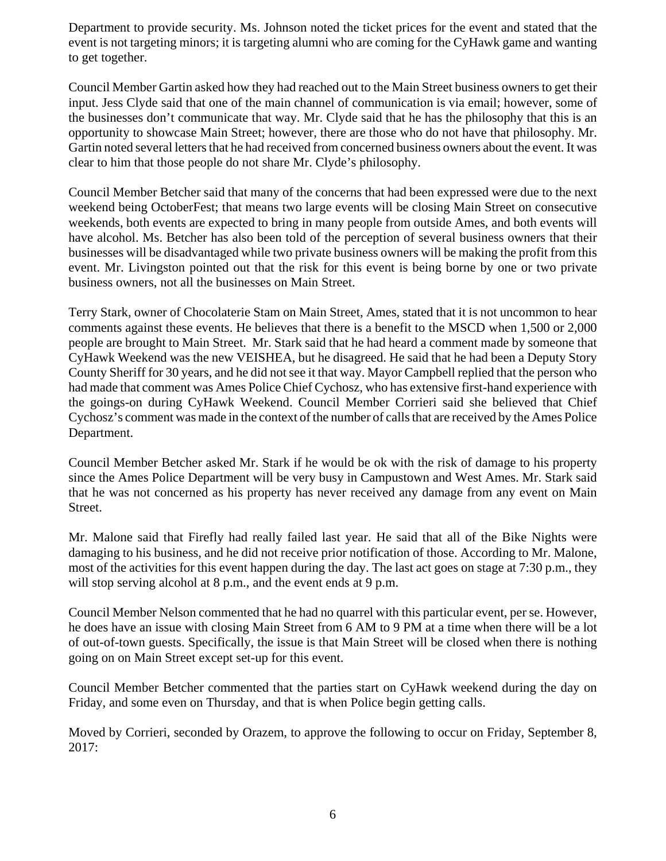Department to provide security. Ms. Johnson noted the ticket prices for the event and stated that the event is not targeting minors; it is targeting alumni who are coming for the CyHawk game and wanting to get together.

Council Member Gartin asked how they had reached out to the Main Street business owners to get their input. Jess Clyde said that one of the main channel of communication is via email; however, some of the businesses don't communicate that way. Mr. Clyde said that he has the philosophy that this is an opportunity to showcase Main Street; however, there are those who do not have that philosophy. Mr. Gartin noted several letters that he had received from concerned business owners about the event. It was clear to him that those people do not share Mr. Clyde's philosophy.

Council Member Betcher said that many of the concerns that had been expressed were due to the next weekend being OctoberFest; that means two large events will be closing Main Street on consecutive weekends, both events are expected to bring in many people from outside Ames, and both events will have alcohol. Ms. Betcher has also been told of the perception of several business owners that their businesses will be disadvantaged while two private business owners will be making the profit from this event. Mr. Livingston pointed out that the risk for this event is being borne by one or two private business owners, not all the businesses on Main Street.

Terry Stark, owner of Chocolaterie Stam on Main Street, Ames, stated that it is not uncommon to hear comments against these events. He believes that there is a benefit to the MSCD when 1,500 or 2,000 people are brought to Main Street. Mr. Stark said that he had heard a comment made by someone that CyHawk Weekend was the new VEISHEA, but he disagreed. He said that he had been a Deputy Story County Sheriff for 30 years, and he did not see it that way. Mayor Campbell replied that the person who had made that comment was Ames Police Chief Cychosz, who has extensive first-hand experience with the goings-on during CyHawk Weekend. Council Member Corrieri said she believed that Chief Cychosz's comment was made in the context of the number of calls that are received by the Ames Police Department.

Council Member Betcher asked Mr. Stark if he would be ok with the risk of damage to his property since the Ames Police Department will be very busy in Campustown and West Ames. Mr. Stark said that he was not concerned as his property has never received any damage from any event on Main Street.

Mr. Malone said that Firefly had really failed last year. He said that all of the Bike Nights were damaging to his business, and he did not receive prior notification of those. According to Mr. Malone, most of the activities for this event happen during the day. The last act goes on stage at 7:30 p.m., they will stop serving alcohol at 8 p.m., and the event ends at 9 p.m.

Council Member Nelson commented that he had no quarrel with this particular event, per se. However, he does have an issue with closing Main Street from 6 AM to 9 PM at a time when there will be a lot of out-of-town guests. Specifically, the issue is that Main Street will be closed when there is nothing going on on Main Street except set-up for this event.

Council Member Betcher commented that the parties start on CyHawk weekend during the day on Friday, and some even on Thursday, and that is when Police begin getting calls.

Moved by Corrieri, seconded by Orazem, to approve the following to occur on Friday, September 8, 2017: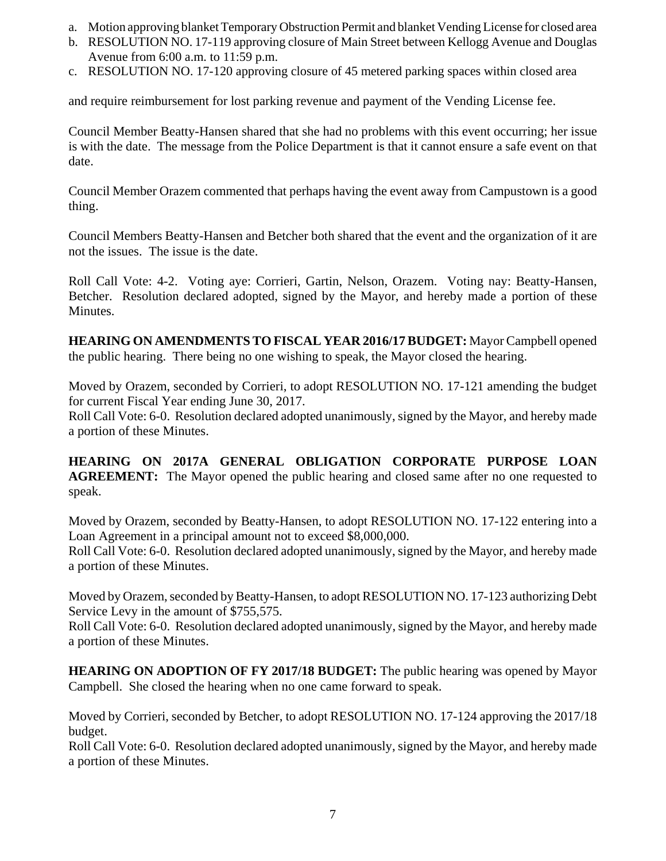- a. Motion approving blanket Temporary Obstruction Permit and blanket Vending License for closed area
- b. RESOLUTION NO. 17-119 approving closure of Main Street between Kellogg Avenue and Douglas Avenue from 6:00 a.m. to 11:59 p.m.
- c. RESOLUTION NO. 17-120 approving closure of 45 metered parking spaces within closed area

and require reimbursement for lost parking revenue and payment of the Vending License fee.

Council Member Beatty-Hansen shared that she had no problems with this event occurring; her issue is with the date. The message from the Police Department is that it cannot ensure a safe event on that date.

Council Member Orazem commented that perhaps having the event away from Campustown is a good thing.

Council Members Beatty-Hansen and Betcher both shared that the event and the organization of it are not the issues. The issue is the date.

Roll Call Vote: 4-2. Voting aye: Corrieri, Gartin, Nelson, Orazem. Voting nay: Beatty-Hansen, Betcher. Resolution declared adopted, signed by the Mayor, and hereby made a portion of these Minutes.

**HEARING ON AMENDMENTS TO FISCAL YEAR 2016/17 BUDGET:** Mayor Campbell opened the public hearing. There being no one wishing to speak, the Mayor closed the hearing.

Moved by Orazem, seconded by Corrieri, to adopt RESOLUTION NO. 17-121 amending the budget for current Fiscal Year ending June 30, 2017.

Roll Call Vote: 6-0. Resolution declared adopted unanimously, signed by the Mayor, and hereby made a portion of these Minutes.

**HEARING ON 2017A GENERAL OBLIGATION CORPORATE PURPOSE LOAN AGREEMENT:** The Mayor opened the public hearing and closed same after no one requested to speak.

Moved by Orazem, seconded by Beatty-Hansen, to adopt RESOLUTION NO. 17-122 entering into a Loan Agreement in a principal amount not to exceed \$8,000,000.

Roll Call Vote: 6-0. Resolution declared adopted unanimously, signed by the Mayor, and hereby made a portion of these Minutes.

Moved by Orazem, seconded by Beatty-Hansen, to adopt RESOLUTION NO. 17-123 authorizing Debt Service Levy in the amount of \$755,575.

Roll Call Vote: 6-0. Resolution declared adopted unanimously, signed by the Mayor, and hereby made a portion of these Minutes.

**HEARING ON ADOPTION OF FY 2017/18 BUDGET:** The public hearing was opened by Mayor Campbell. She closed the hearing when no one came forward to speak.

Moved by Corrieri, seconded by Betcher, to adopt RESOLUTION NO. 17-124 approving the 2017/18 budget.

Roll Call Vote: 6-0. Resolution declared adopted unanimously, signed by the Mayor, and hereby made a portion of these Minutes.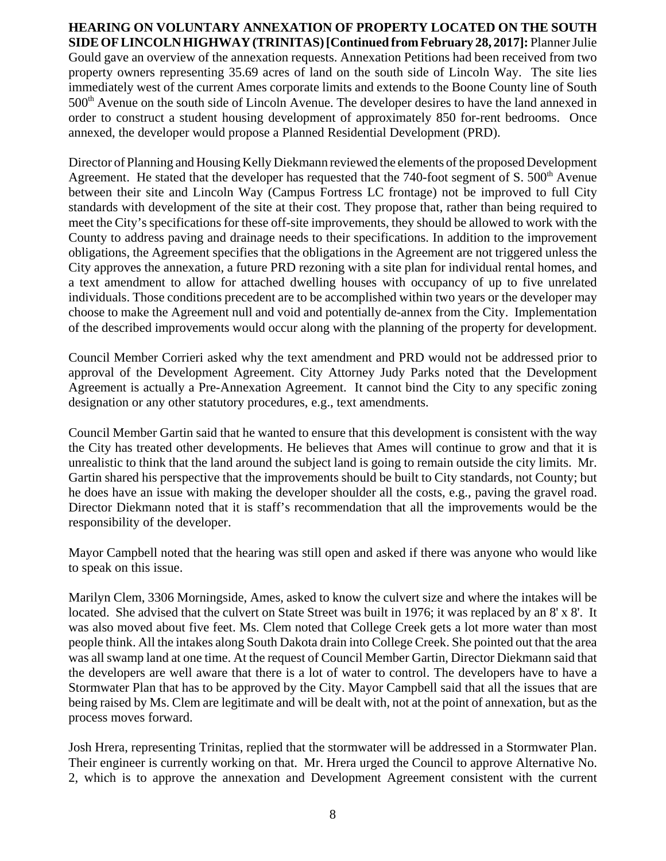#### **HEARING ON VOLUNTARY ANNEXATION OF PROPERTY LOCATED ON THE SOUTH SIDE OF LINCOLN HIGHWAY (TRINITAS) [Continued from February 28, 2017]:** Planner Julie Gould gave an overview of the annexation requests. Annexation Petitions had been received from two property owners representing 35.69 acres of land on the south side of Lincoln Way. The site lies immediately west of the current Ames corporate limits and extends to the Boone County line of South  $500<sup>th</sup>$  Avenue on the south side of Lincoln Avenue. The developer desires to have the land annexed in order to construct a student housing development of approximately 850 for-rent bedrooms. Once annexed, the developer would propose a Planned Residential Development (PRD).

Director of Planning and Housing Kelly Diekmann reviewed the elements of the proposed Development Agreement. He stated that the developer has requested that the 740-foot segment of S.  $500<sup>th</sup>$  Avenue between their site and Lincoln Way (Campus Fortress LC frontage) not be improved to full City standards with development of the site at their cost. They propose that, rather than being required to meet the City's specifications for these off-site improvements, they should be allowed to work with the County to address paving and drainage needs to their specifications. In addition to the improvement obligations, the Agreement specifies that the obligations in the Agreement are not triggered unless the City approves the annexation, a future PRD rezoning with a site plan for individual rental homes, and a text amendment to allow for attached dwelling houses with occupancy of up to five unrelated individuals. Those conditions precedent are to be accomplished within two years or the developer may choose to make the Agreement null and void and potentially de-annex from the City. Implementation of the described improvements would occur along with the planning of the property for development.

Council Member Corrieri asked why the text amendment and PRD would not be addressed prior to approval of the Development Agreement. City Attorney Judy Parks noted that the Development Agreement is actually a Pre-Annexation Agreement. It cannot bind the City to any specific zoning designation or any other statutory procedures, e.g., text amendments.

Council Member Gartin said that he wanted to ensure that this development is consistent with the way the City has treated other developments. He believes that Ames will continue to grow and that it is unrealistic to think that the land around the subject land is going to remain outside the city limits. Mr. Gartin shared his perspective that the improvements should be built to City standards, not County; but he does have an issue with making the developer shoulder all the costs, e.g., paving the gravel road. Director Diekmann noted that it is staff's recommendation that all the improvements would be the responsibility of the developer.

Mayor Campbell noted that the hearing was still open and asked if there was anyone who would like to speak on this issue.

Marilyn Clem, 3306 Morningside, Ames, asked to know the culvert size and where the intakes will be located. She advised that the culvert on State Street was built in 1976; it was replaced by an 8' x 8'. It was also moved about five feet. Ms. Clem noted that College Creek gets a lot more water than most people think. All the intakes along South Dakota drain into College Creek. She pointed out that the area was all swamp land at one time. At the request of Council Member Gartin, Director Diekmann said that the developers are well aware that there is a lot of water to control. The developers have to have a Stormwater Plan that has to be approved by the City. Mayor Campbell said that all the issues that are being raised by Ms. Clem are legitimate and will be dealt with, not at the point of annexation, but as the process moves forward.

Josh Hrera, representing Trinitas, replied that the stormwater will be addressed in a Stormwater Plan. Their engineer is currently working on that. Mr. Hrera urged the Council to approve Alternative No. 2, which is to approve the annexation and Development Agreement consistent with the current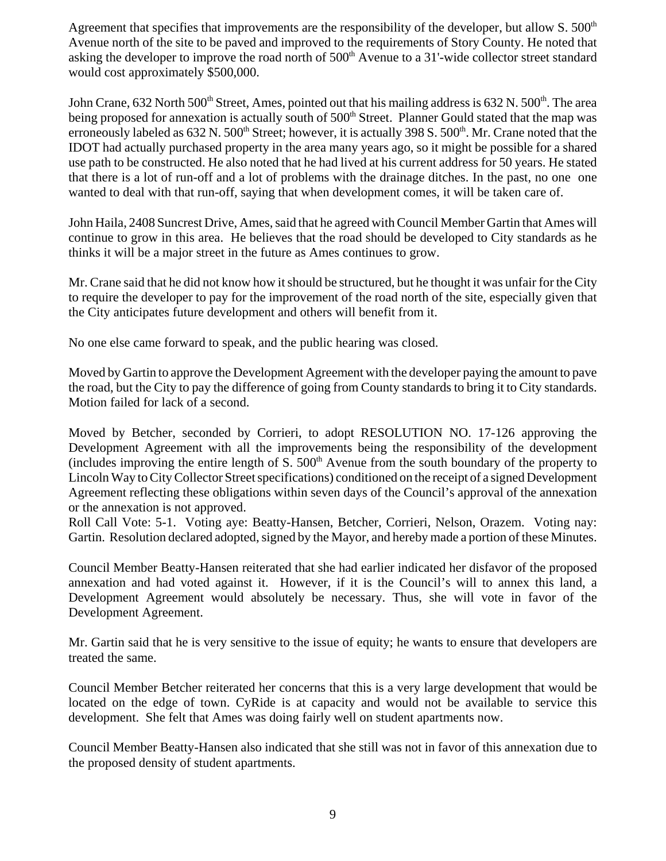Agreement that specifies that improvements are the responsibility of the developer, but allow S.  $500<sup>th</sup>$ Avenue north of the site to be paved and improved to the requirements of Story County. He noted that asking the developer to improve the road north of  $500<sup>th</sup>$  Avenue to a 31'-wide collector street standard would cost approximately \$500,000.

John Crane, 632 North 500<sup>th</sup> Street, Ames, pointed out that his mailing address is 632 N. 500<sup>th</sup>. The area being proposed for annexation is actually south of 500<sup>th</sup> Street. Planner Gould stated that the map was erroneously labeled as 632 N. 500<sup>th</sup> Street; however, it is actually 398 S. 500<sup>th</sup>. Mr. Crane noted that the IDOT had actually purchased property in the area many years ago, so it might be possible for a shared use path to be constructed. He also noted that he had lived at his current address for 50 years. He stated that there is a lot of run-off and a lot of problems with the drainage ditches. In the past, no one one wanted to deal with that run-off, saying that when development comes, it will be taken care of.

John Haila, 2408 Suncrest Drive, Ames, said that he agreed with Council Member Gartin that Ames will continue to grow in this area. He believes that the road should be developed to City standards as he thinks it will be a major street in the future as Ames continues to grow.

Mr. Crane said that he did not know how it should be structured, but he thought it was unfair for the City to require the developer to pay for the improvement of the road north of the site, especially given that the City anticipates future development and others will benefit from it.

No one else came forward to speak, and the public hearing was closed.

Moved by Gartin to approve the Development Agreement with the developer paying the amount to pave the road, but the City to pay the difference of going from County standards to bring it to City standards. Motion failed for lack of a second.

Moved by Betcher, seconded by Corrieri, to adopt RESOLUTION NO. 17-126 approving the Development Agreement with all the improvements being the responsibility of the development (includes improving the entire length of S.  $500<sup>th</sup>$  Avenue from the south boundary of the property to Lincoln Way to City Collector Street specifications) conditioned on the receipt of a signed Development Agreement reflecting these obligations within seven days of the Council's approval of the annexation or the annexation is not approved.

Roll Call Vote: 5-1. Voting aye: Beatty-Hansen, Betcher, Corrieri, Nelson, Orazem. Voting nay: Gartin. Resolution declared adopted, signed by the Mayor, and hereby made a portion of these Minutes.

Council Member Beatty-Hansen reiterated that she had earlier indicated her disfavor of the proposed annexation and had voted against it. However, if it is the Council's will to annex this land, a Development Agreement would absolutely be necessary. Thus, she will vote in favor of the Development Agreement.

Mr. Gartin said that he is very sensitive to the issue of equity; he wants to ensure that developers are treated the same.

Council Member Betcher reiterated her concerns that this is a very large development that would be located on the edge of town. CyRide is at capacity and would not be available to service this development. She felt that Ames was doing fairly well on student apartments now.

Council Member Beatty-Hansen also indicated that she still was not in favor of this annexation due to the proposed density of student apartments.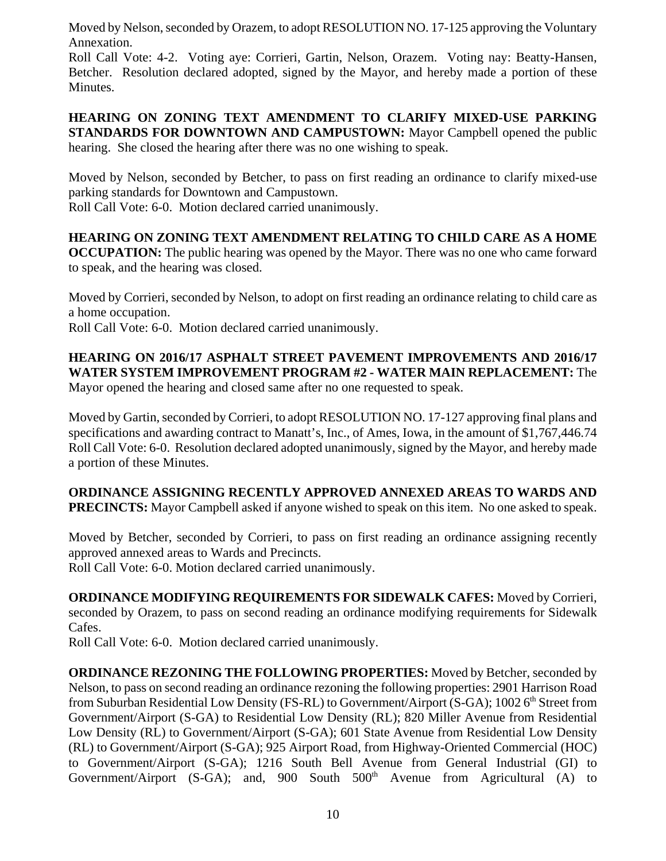Moved by Nelson, seconded by Orazem, to adopt RESOLUTION NO. 17-125 approving the Voluntary Annexation.

Roll Call Vote: 4-2. Voting aye: Corrieri, Gartin, Nelson, Orazem. Voting nay: Beatty-Hansen, Betcher. Resolution declared adopted, signed by the Mayor, and hereby made a portion of these Minutes.

**HEARING ON ZONING TEXT AMENDMENT TO CLARIFY MIXED-USE PARKING STANDARDS FOR DOWNTOWN AND CAMPUSTOWN:** Mayor Campbell opened the public hearing. She closed the hearing after there was no one wishing to speak.

Moved by Nelson, seconded by Betcher, to pass on first reading an ordinance to clarify mixed-use parking standards for Downtown and Campustown.

Roll Call Vote: 6-0. Motion declared carried unanimously.

**HEARING ON ZONING TEXT AMENDMENT RELATING TO CHILD CARE AS A HOME OCCUPATION:** The public hearing was opened by the Mayor. There was no one who came forward to speak, and the hearing was closed.

Moved by Corrieri, seconded by Nelson, to adopt on first reading an ordinance relating to child care as a home occupation.

Roll Call Vote: 6-0. Motion declared carried unanimously.

# **HEARING ON 2016/17 ASPHALT STREET PAVEMENT IMPROVEMENTS AND 2016/17 WATER SYSTEM IMPROVEMENT PROGRAM #2 - WATER MAIN REPLACEMENT:** The

Mayor opened the hearing and closed same after no one requested to speak.

Moved by Gartin, seconded by Corrieri, to adopt RESOLUTION NO. 17-127 approving final plans and specifications and awarding contract to Manatt's, Inc., of Ames, Iowa, in the amount of \$1,767,446.74 Roll Call Vote: 6-0. Resolution declared adopted unanimously, signed by the Mayor, and hereby made a portion of these Minutes.

**ORDINANCE ASSIGNING RECENTLY APPROVED ANNEXED AREAS TO WARDS AND PRECINCTS:** Mayor Campbell asked if anyone wished to speak on this item. No one asked to speak.

Moved by Betcher, seconded by Corrieri, to pass on first reading an ordinance assigning recently approved annexed areas to Wards and Precincts.

Roll Call Vote: 6-0. Motion declared carried unanimously.

**ORDINANCE MODIFYING REQUIREMENTS FOR SIDEWALK CAFES:** Moved by Corrieri, seconded by Orazem, to pass on second reading an ordinance modifying requirements for Sidewalk Cafes.

Roll Call Vote: 6-0. Motion declared carried unanimously.

**ORDINANCE REZONING THE FOLLOWING PROPERTIES:** Moved by Betcher, seconded by Nelson, to pass on second reading an ordinance rezoning the following properties: 2901 Harrison Road from Suburban Residential Low Density (FS-RL) to Government/Airport (S-GA); 1002  $6<sup>th</sup>$  Street from Government/Airport (S-GA) to Residential Low Density (RL); 820 Miller Avenue from Residential Low Density (RL) to Government/Airport (S-GA); 601 State Avenue from Residential Low Density (RL) to Government/Airport (S-GA); 925 Airport Road, from Highway-Oriented Commercial (HOC) to Government/Airport (S-GA); 1216 South Bell Avenue from General Industrial (GI) to Government/Airport (S-GA); and, 900 South  $500<sup>th</sup>$  Avenue from Agricultural (A) to